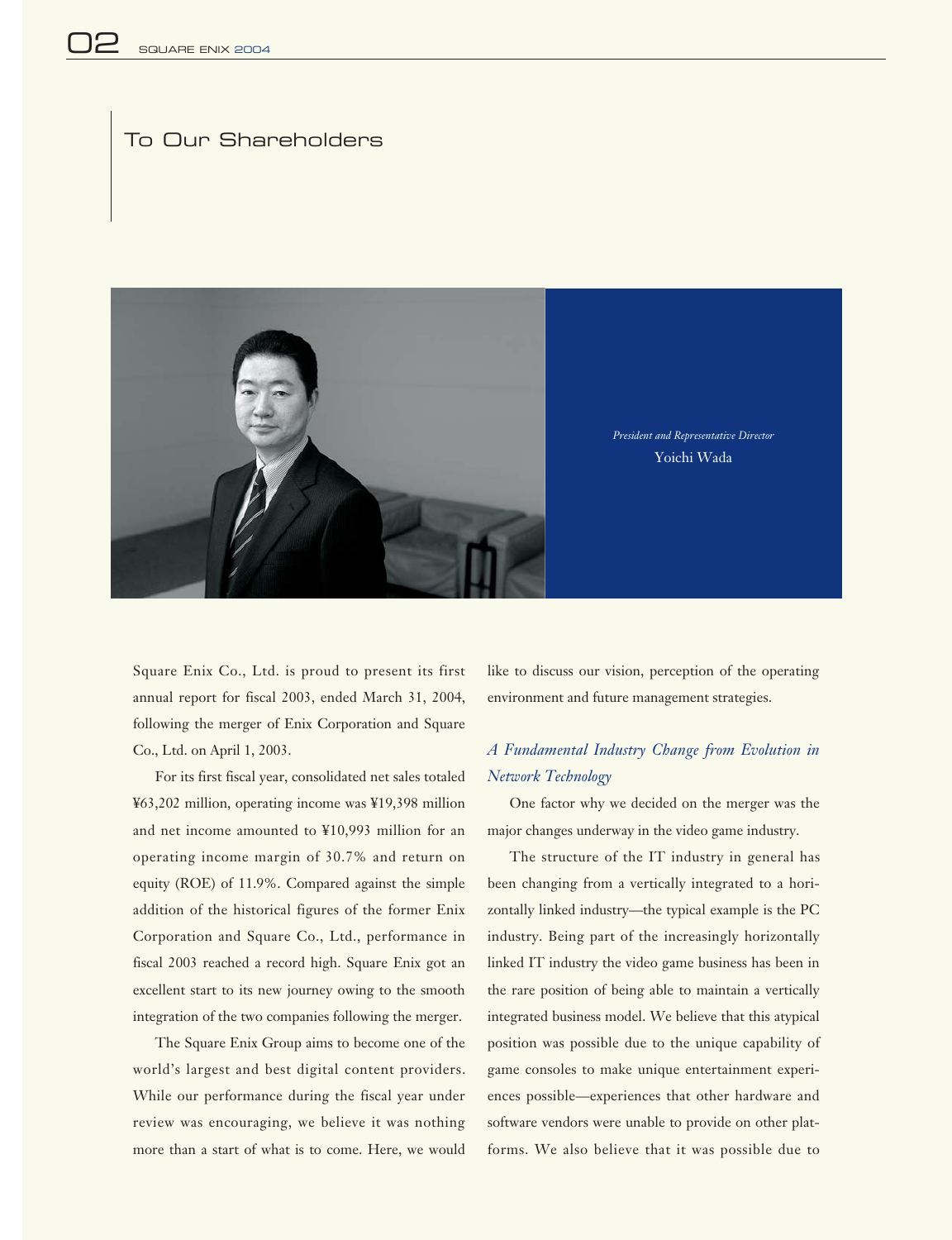# To Our Shareholders



Square Enix Co., Ltd. is proud to present its first annual report for fiscal 2003, ended March 31, 2004, following the merger of Enix Corporation and Square Co., Ltd. on April 1, 2003.

For its first fiscal year, consolidated net sales totaled ¥63,202 million, operating income was ¥19,398 million and net income amounted to ¥10,993 million for an operating income margin of 30.7% and return on equity (ROE) of 11.9%. Compared against the simple addition of the historical figures of the former Enix Corporation and Square Co., Ltd., performance in fiscal 2003 reached a record high. Square Enix got an excellent start to its new journey owing to the smooth integration of the two companies following the merger.

The Square Enix Group aims to become one of the world's largest and best digital content providers. While our performance during the fiscal year under review was encouraging, we believe it was nothing more than a start of what is to come. Here, we would like to discuss our vision, perception of the operating environment and future management strategies.

# *A Fundamental Industry Change from Evolution in Network Technology*

One factor why we decided on the merger was the major changes underway in the video game industry.

The structure of the IT industry in general has been changing from a vertically integrated to a horizontally linked industry—the typical example is the PC industry. Being part of the increasingly horizontally linked IT industry the video game business has been in the rare position of being able to maintain a vertically integrated business model. We believe that this atypical position was possible due to the unique capability of game consoles to make unique entertainment experiences possible—experiences that other hardware and software vendors were unable to provide on other platforms. We also believe that it was possible due to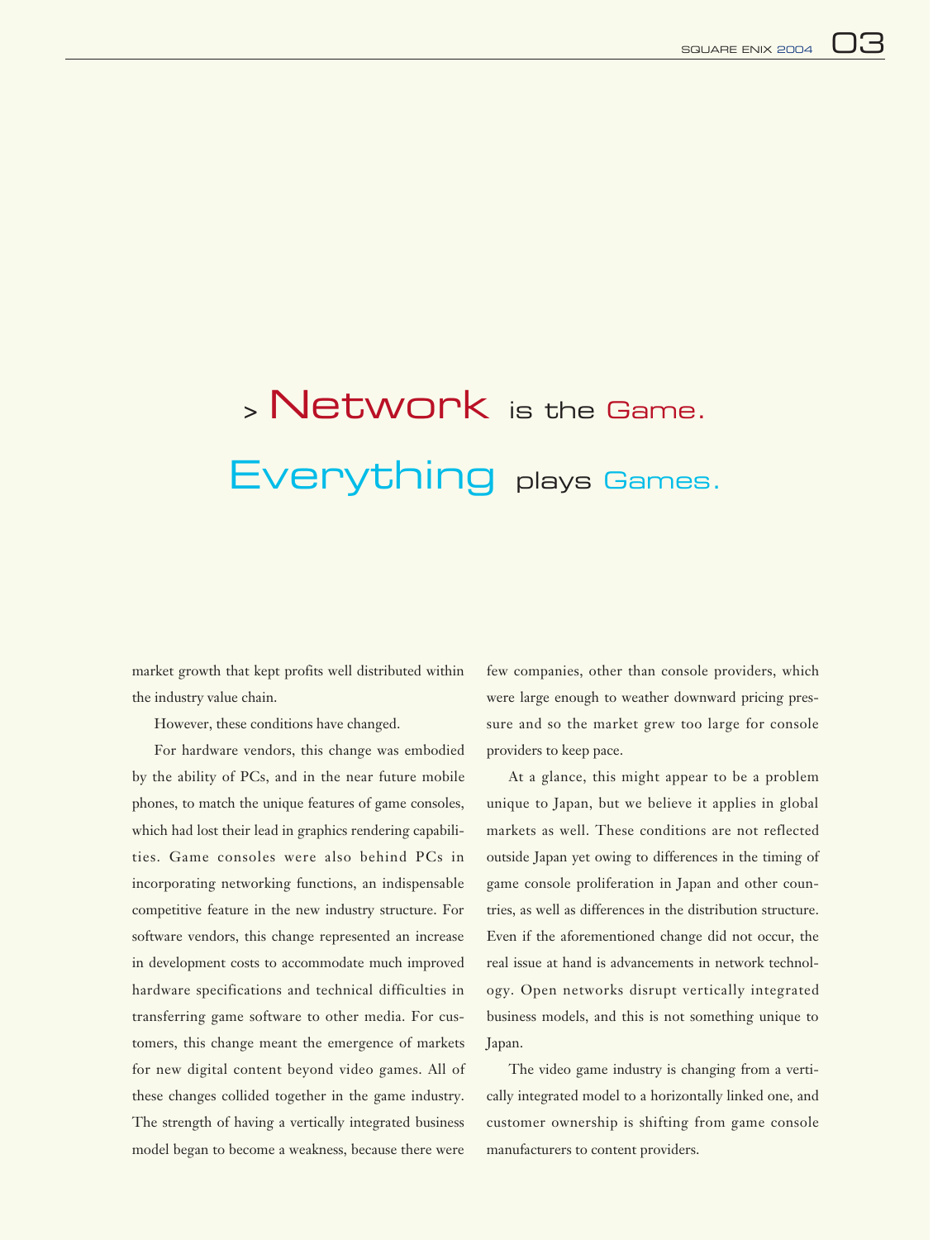# <sup>&</sup>gt; Network is the Game. Everything plays Games.

market growth that kept profits well distributed within the industry value chain.

However, these conditions have changed.

For hardware vendors, this change was embodied by the ability of PCs, and in the near future mobile phones, to match the unique features of game consoles, which had lost their lead in graphics rendering capabilities. Game consoles were also behind PCs in incorporating networking functions, an indispensable competitive feature in the new industry structure. For software vendors, this change represented an increase in development costs to accommodate much improved hardware specifications and technical difficulties in transferring game software to other media. For customers, this change meant the emergence of markets for new digital content beyond video games. All of these changes collided together in the game industry. The strength of having a vertically integrated business model began to become a weakness, because there were

few companies, other than console providers, which were large enough to weather downward pricing pressure and so the market grew too large for console providers to keep pace.

At a glance, this might appear to be a problem unique to Japan, but we believe it applies in global markets as well. These conditions are not reflected outside Japan yet owing to differences in the timing of game console proliferation in Japan and other countries, as well as differences in the distribution structure. Even if the aforementioned change did not occur, the real issue at hand is advancements in network technology. Open networks disrupt vertically integrated business models, and this is not something unique to Japan.

The video game industry is changing from a vertically integrated model to a horizontally linked one, and customer ownership is shifting from game console manufacturers to content providers.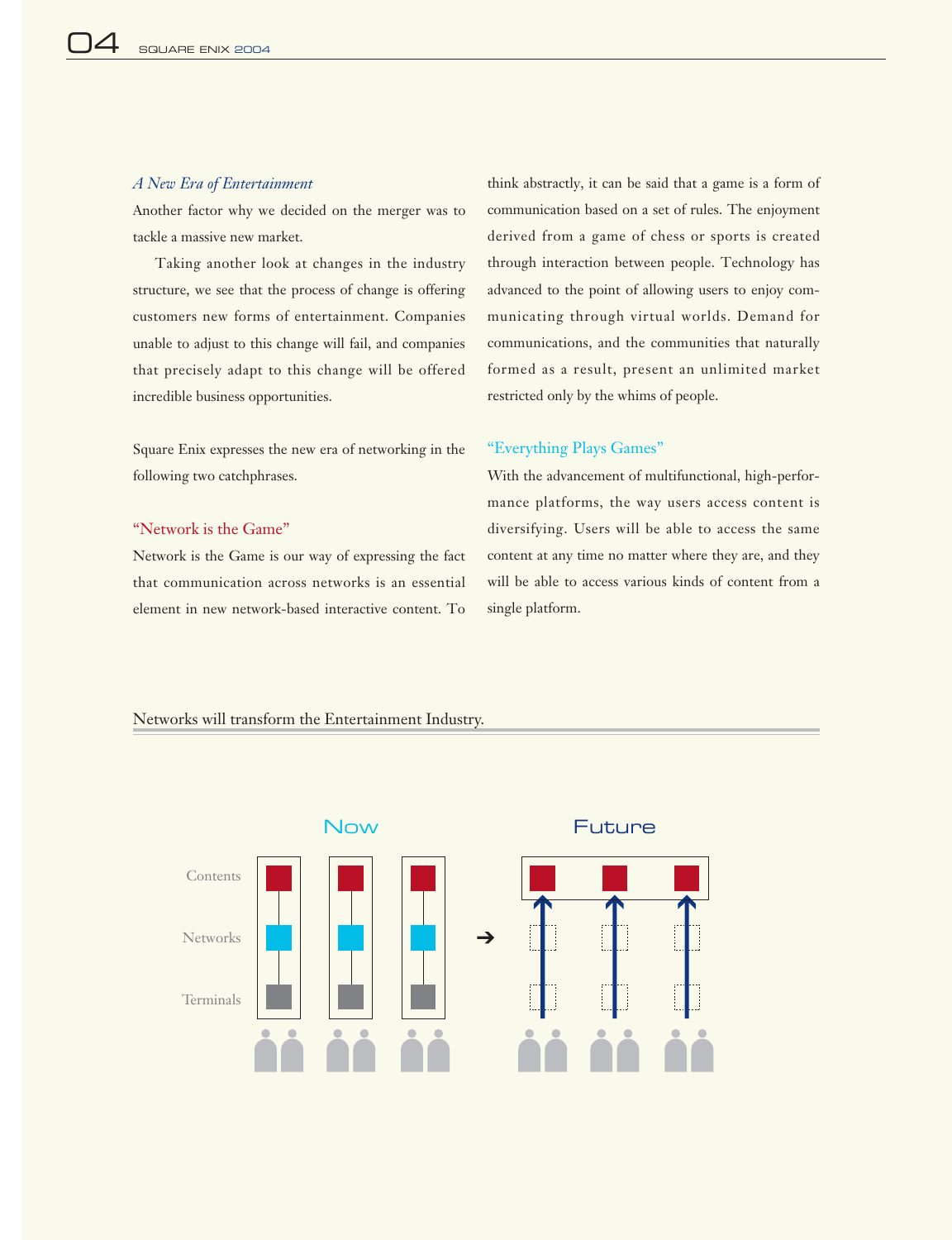# *A New Era of Entertainment*

Another factor why we decided on the merger was to tackle a massive new market.

Taking another look at changes in the industry structure, we see that the process of change is offering customers new forms of entertainment. Companies unable to adjust to this change will fail, and companies that precisely adapt to this change will be offered incredible business opportunities.

Square Enix expresses the new era of networking in the following two catchphrases.

### "Network is the Game"

Network is the Game is our way of expressing the fact that communication across networks is an essential element in new network-based interactive content. To

think abstractly, it can be said that a game is a form of communication based on a set of rules. The enjoyment derived from a game of chess or sports is created through interaction between people. Technology has advanced to the point of allowing users to enjoy communicating through virtual worlds. Demand for communications, and the communities that naturally formed as a result, present an unlimited market restricted only by the whims of people.

### "Everything Plays Games"

With the advancement of multifunctional, high-performance platforms, the way users access content is diversifying. Users will be able to access the same content at any time no matter where they are, and they will be able to access various kinds of content from a single platform.

# Now Future Contents **Networks Terminals**

# Networks will transform the Entertainment Industry.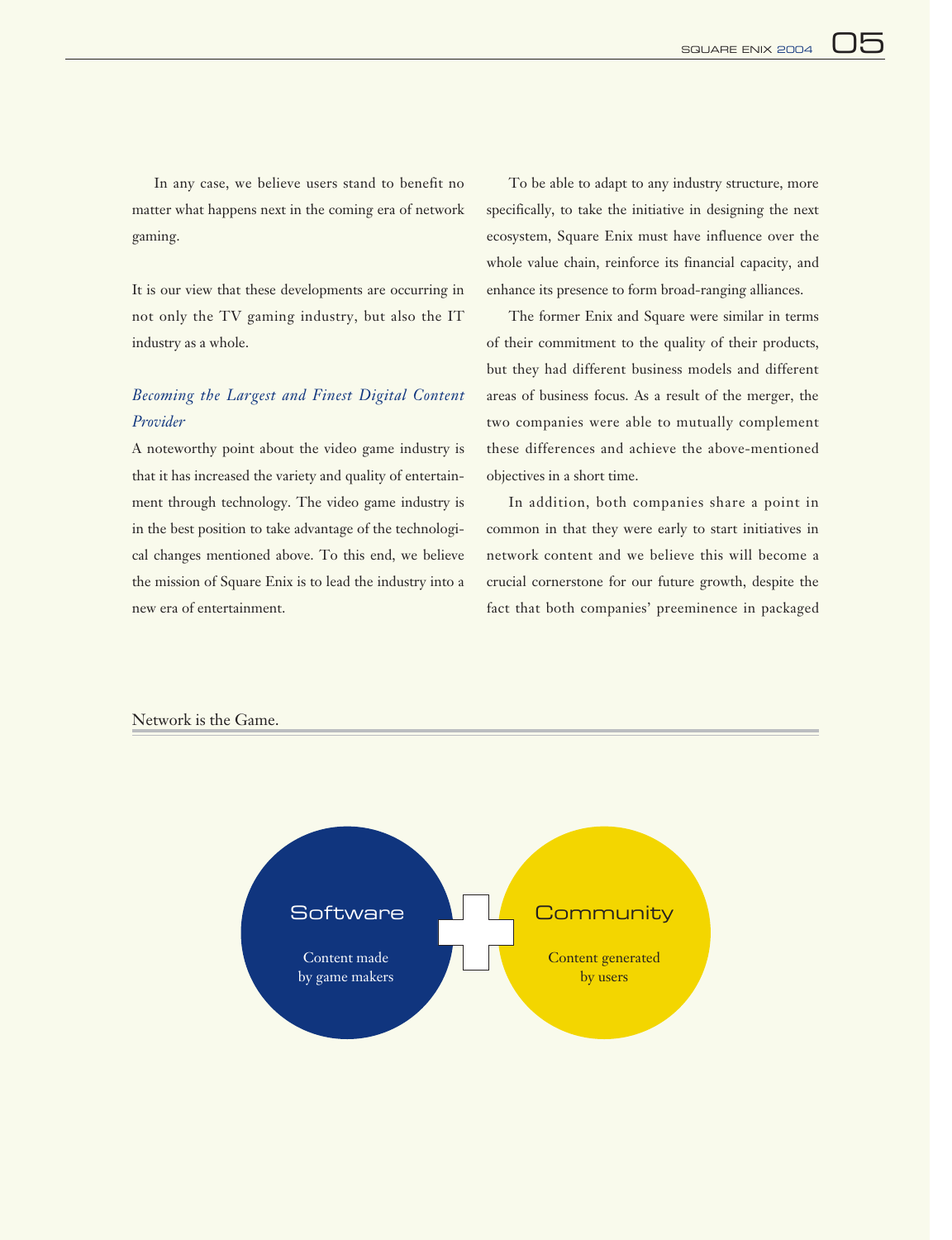In any case, we believe users stand to benefit no matter what happens next in the coming era of network gaming.

It is our view that these developments are occurring in not only the TV gaming industry, but also the IT industry as a whole.

# *Becoming the Largest and Finest Digital Content Provider*

A noteworthy point about the video game industry is that it has increased the variety and quality of entertainment through technology. The video game industry is in the best position to take advantage of the technological changes mentioned above. To this end, we believe the mission of Square Enix is to lead the industry into a new era of entertainment.

To be able to adapt to any industry structure, more specifically, to take the initiative in designing the next ecosystem, Square Enix must have influence over the whole value chain, reinforce its financial capacity, and enhance its presence to form broad-ranging alliances.

The former Enix and Square were similar in terms of their commitment to the quality of their products, but they had different business models and different areas of business focus. As a result of the merger, the two companies were able to mutually complement these differences and achieve the above-mentioned objectives in a short time.

In addition, both companies share a point in common in that they were early to start initiatives in network content and we believe this will become a crucial cornerstone for our future growth, despite the fact that both companies' preeminence in packaged

### Network is the Game.

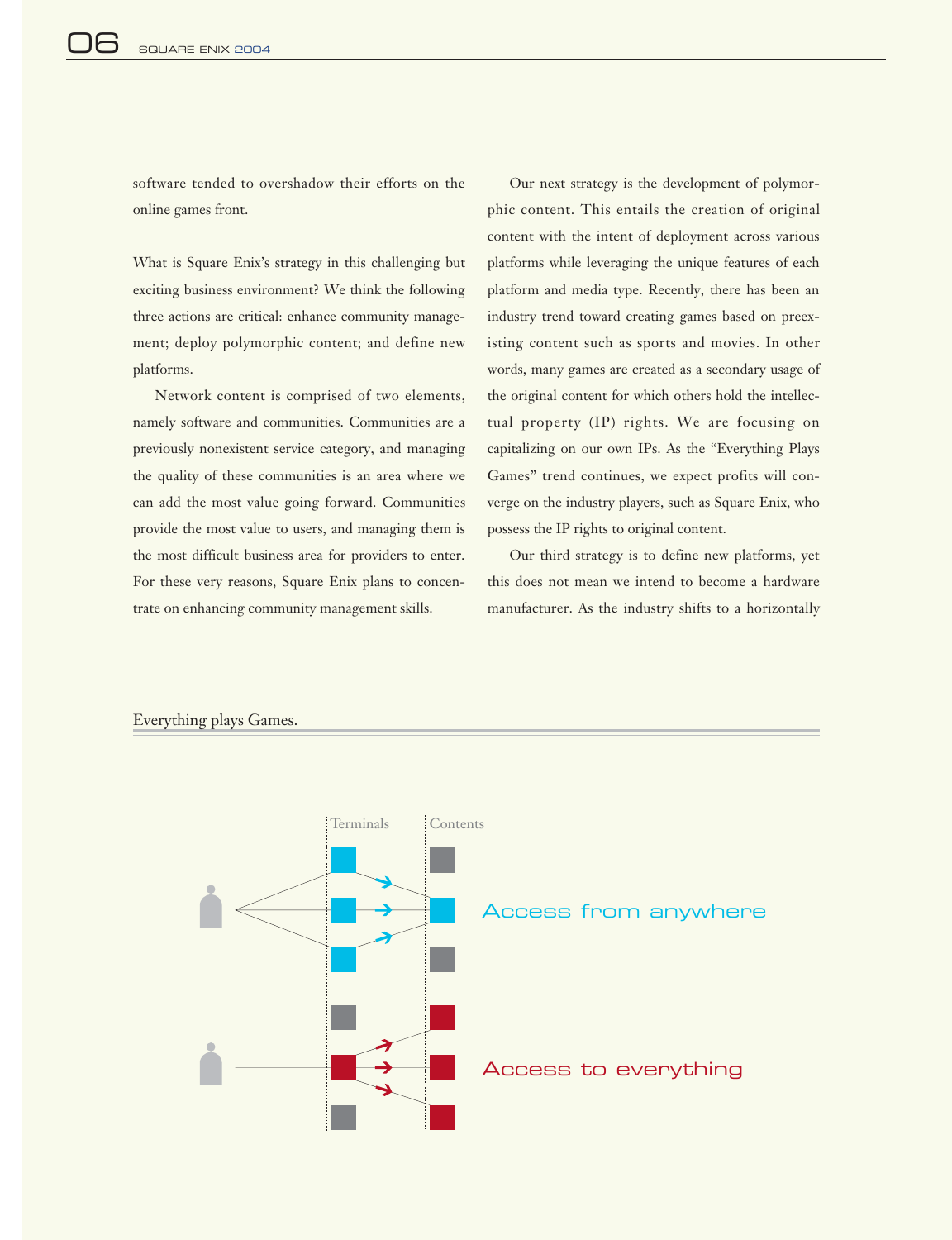software tended to overshadow their efforts on the online games front.

What is Square Enix's strategy in this challenging but exciting business environment? We think the following three actions are critical: enhance community management; deploy polymorphic content; and define new platforms.

Network content is comprised of two elements, namely software and communities. Communities are a previously nonexistent service category, and managing the quality of these communities is an area where we can add the most value going forward. Communities provide the most value to users, and managing them is the most difficult business area for providers to enter. For these very reasons, Square Enix plans to concentrate on enhancing community management skills.

Our next strategy is the development of polymorphic content. This entails the creation of original content with the intent of deployment across various platforms while leveraging the unique features of each platform and media type. Recently, there has been an industry trend toward creating games based on preexisting content such as sports and movies. In other words, many games are created as a secondary usage of the original content for which others hold the intellectual property (IP) rights. We are focusing on capitalizing on our own IPs. As the "Everything Plays Games" trend continues, we expect profits will converge on the industry players, such as Square Enix, who possess the IP rights to original content.

Our third strategy is to define new platforms, yet this does not mean we intend to become a hardware manufacturer. As the industry shifts to a horizontally



#### Everything plays Games.